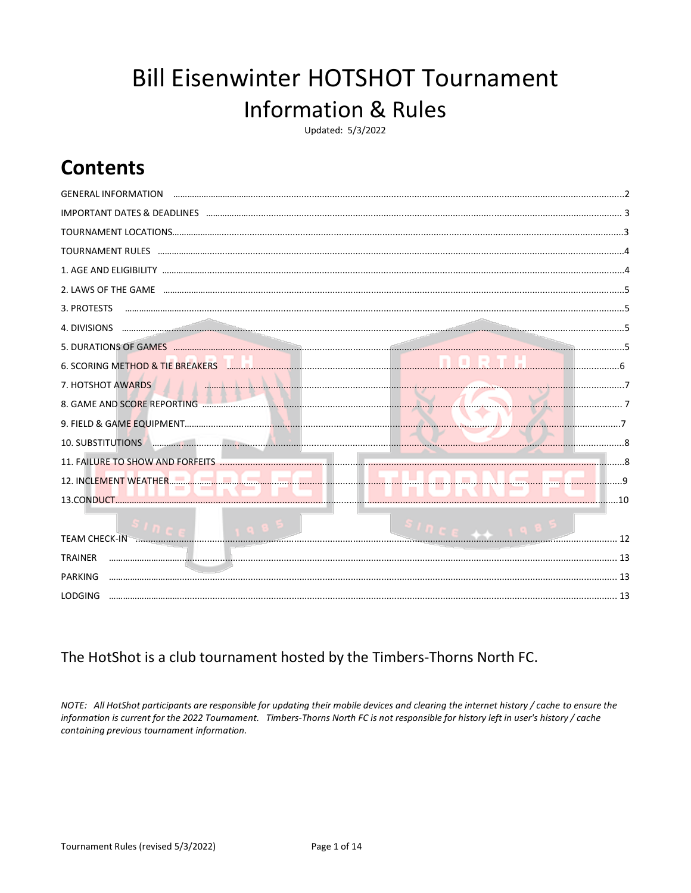# **Bill Eisenwinter HOTSHOT Tournament Information & Rules**

Updated: 5/3/2022

## **Contents**

| <b>GENERAL INFORMATION</b>                                                                                                                       |
|--------------------------------------------------------------------------------------------------------------------------------------------------|
|                                                                                                                                                  |
|                                                                                                                                                  |
| TOURNAMENT RULES www.alian.com/alian.com/alian.com/alian.com/alian.com/alian.com/alian.com/alian.com/alian.com/                                  |
|                                                                                                                                                  |
|                                                                                                                                                  |
| 3. PROTESTS                                                                                                                                      |
| 4. DIVISIONS                                                                                                                                     |
|                                                                                                                                                  |
| 6. SCORING METHOD & TIE BREAKERS <b>All and All and All and All and All and All and All and All and All and All and A</b>                        |
| 7. HOTSHOT AWARDS                                                                                                                                |
|                                                                                                                                                  |
|                                                                                                                                                  |
| <u> 1999 - Januari Sarajan, Sarajan Sarajan, Sarajan Sarajan Sarajan Sarajan Sarajan Sarajan Sarajan Sarajan Sar</u><br><b>10. SUBSTITUTIONS</b> |
|                                                                                                                                                  |
|                                                                                                                                                  |
|                                                                                                                                                  |
|                                                                                                                                                  |
| <b>TEAM CHECK-IN</b>                                                                                                                             |
| <b>TRAINER</b>                                                                                                                                   |
| PARKING                                                                                                                                          |
| <b>LODGING</b>                                                                                                                                   |

### The HotShot is a club tournament hosted by the Timbers-Thorns North FC.

NOTE: All HotShot participants are responsible for updating their mobile devices and clearing the internet history / cache to ensure the information is current for the 2022 Tournament. Timbers-Thorns North FC is not responsible for history left in user's history / cache containing previous tournament information.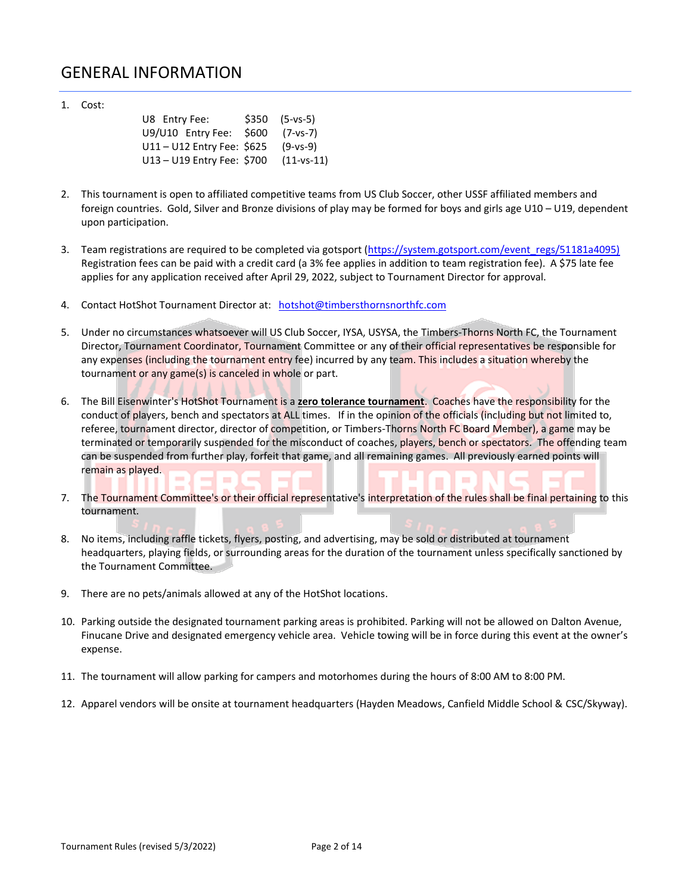### GENERAL INFORMATION

1. Cost:

| U8 Entry Fee:                           | $$350$ $(5-ys-5)$ |
|-----------------------------------------|-------------------|
| U9/U10 Entry Fee: \$600 (7-vs-7)        |                   |
| U11-U12 Entry Fee: \$625 (9-vs-9)       |                   |
| $U13 - U19$ Entry Fee: \$700 (11-vs-11) |                   |

- 2. This tournament is open to affiliated competitive teams from US Club Soccer, other USSF affiliated members and foreign countries. Gold, Silver and Bronze divisions of play may be formed for boys and girls age U10 – U19, dependent upon participation.
- 3. Team registrations are required to be completed via gotsport [\(https://system.gotsport.com/event\\_regs/51181a4095\)](https://system.gotsport.com/event_regs/51181a4095)) Registration fees can be paid with a credit card (a 3% fee applies in addition to team registration fee). A \$75 late fee applies for any application received after April 29, 2022, subject to Tournament Director for approval.
- 4. Contact HotShot Tournament Director at: [hotshot@timbersthornsnorthfc.com](mailto:hotshot@timbersthornsnorthfc.com?subject=HotShot%20Rules)
- 5. Under no circumstances whatsoever will US Club Soccer, IYSA, USYSA, the Timbers-Thorns North FC, the Tournament Director, Tournament Coordinator, Tournament Committee or any of their official representatives be responsible for any expenses (including the tournament entry fee) incurred by any team. This includes a situation whereby the tournament or any game(s) is canceled in whole or part.
- 6. The Bill Eisenwinter's HotShot Tournament is a **zero tolerance tournament**. Coaches have the responsibility for the conduct of players, bench and spectators at ALL times. If in the opinion of the officials (including but not limited to, referee, tournament director, director of competition, or Timbers-Thorns North FC Board Member), a game may be terminated or temporarily suspended for the misconduct of coaches, players, bench or spectators. The offending team can be suspended from further play, forfeit that game, and all remaining games. All previously earned points will remain as played.  $\mathcal{L}_{\mathcal{A}}$  $\Box$
- 7. The Tournament Committee's or their official representative's interpretation of the rules shall be final pertaining to this tournament.
- 8. No items, including raffle tickets, flyers, posting, and advertising, may be sold or distributed at tournament headquarters, playing fields, or surrounding areas for the duration of the tournament unless specifically sanctioned by the Tournament Committee.
- 9. There are no pets/animals allowed at any of the HotShot locations.
- 10. Parking outside the designated tournament parking areas is prohibited. Parking will not be allowed on Dalton Avenue, Finucane Drive and designated emergency vehicle area. Vehicle towing will be in force during this event at the owner's expense.
- 11. The tournament will allow parking for campers and motorhomes during the hours of 8:00 AM to 8:00 PM.
- 12. Apparel vendors will be onsite at tournament headquarters (Hayden Meadows, Canfield Middle School & CSC/Skyway).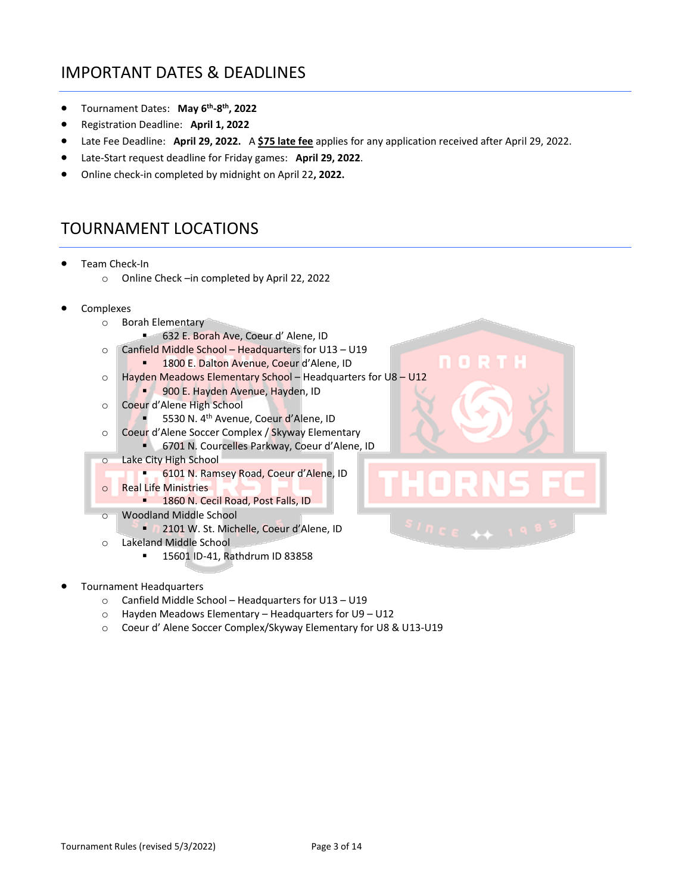### IMPORTANT DATES & DEADLINES

- Tournament Dates: **May 6th -8 th, 2022**
- Registration Deadline: **April 1, 2022**
- Late Fee Deadline: **April 29, 2022.** A **\$75 late fee** applies for any application received after April 29, 2022.
- Late-Start request deadline for Friday games: **April 29, 2022**.
- Online check-in completed by midnight on April 22**, 2022.**

### TOURNAMENT LOCATIONS

- Team Check-In
	- o Online Check –in completed by April 22, 2022
- Complexes
	- o Borah Elementary
		- 632 E. Borah Ave, Coeur d' Alene, ID
	- o Canfield Middle School Headquarters for U13 U19
		- **E.** 1800 E. Dalton Avenue, Coeur d'Alene, ID
	- o Hayden Meadows Elementary School Headquarters for U8 U12
		- 900 E. Hayden Avenue, Hayden, ID
	- o Coeur d'Alene High School
		- 5530 N. 4<sup>th</sup> Avenue, Coeur d'Alene, ID
	- o Coeur d'Alene Soccer Complex / Skyway Elementary
	- 6701 N. Courcelles Parkway, Coeur d'Alene, ID o Lake City High School
		- **6101 N. Ramsey Road, Coeur d'Alene, ID**
	- o Real Life Ministries
		- 1860 N. Cecil Road, Post Falls, ID
	- o Woodland Middle School
		- **2101 W. St. Michelle, Coeur d'Alene, ID**
	- o Lakeland Middle School
		- 15601 ID-41, Rathdrum ID 83858
- Tournament Headquarters
	- o Canfield Middle School Headquarters for U13 U19
	- o Hayden Meadows Elementary Headquarters for U9 U12
	- o Coeur d' Alene Soccer Complex/Skyway Elementary for U8 & U13-U19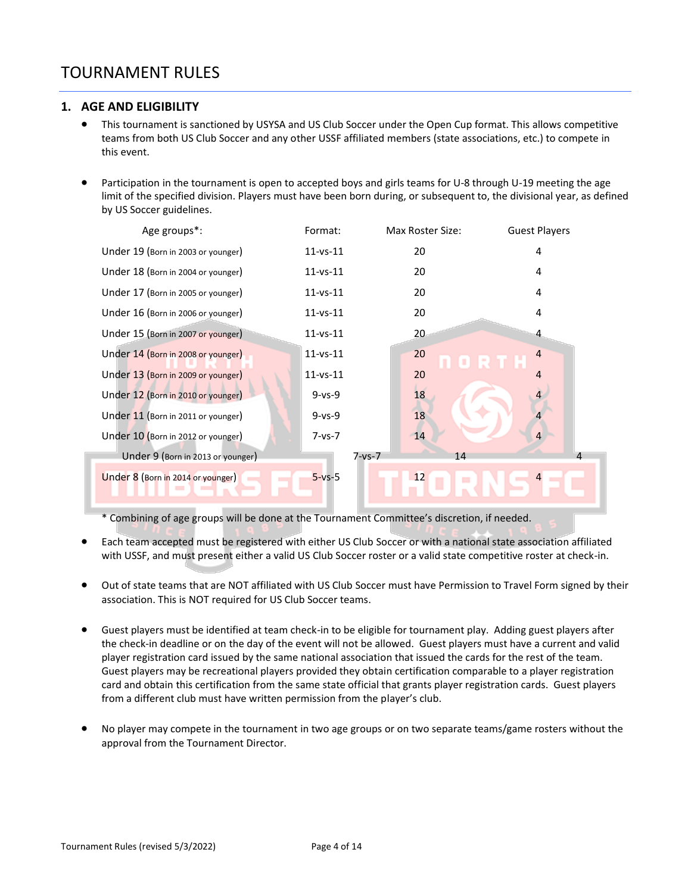### TOURNAMENT RULES

#### **1. AGE AND ELIGIBILITY**

- This tournament is sanctioned by USYSA and US Club Soccer under the Open Cup format. This allows competitive teams from both US Club Soccer and any other USSF affiliated members (state associations, etc.) to compete in this event.
- Participation in the tournament is open to accepted boys and girls teams for U-8 through U-19 meeting the age limit of the specified division. Players must have been born during, or subsequent to, the divisional year, as defined by US Soccer guidelines.

| Age groups*:                       | Format:        | Max Roster Size: | <b>Guest Players</b> |
|------------------------------------|----------------|------------------|----------------------|
| Under 19 (Born in 2003 or younger) | $11 - vs - 11$ | 20               | 4                    |
| Under 18 (Born in 2004 or younger) | $11 - vs - 11$ | 20               | 4                    |
| Under 17 (Born in 2005 or younger) | $11 - vs - 11$ | 20               | 4                    |
| Under 16 (Born in 2006 or younger) | $11 - vs - 11$ | 20               | 4                    |
| Under 15 (Born in 2007 or younger) | $11 - vs - 11$ | 20               | 4                    |
| Under 14 (Born in 2008 or younger) | $11 - vs - 11$ | 20               | $\overline{4}$       |
| Under 13 (Born in 2009 or younger) | $11 - vs - 11$ | 20               | $\overline{4}$       |
| Under 12 (Born in 2010 or younger) | $9 - vs - 9$   | 18               | 4                    |
| Under 11 (Born in 2011 or younger) | $9 - vs - 9$   | 18               |                      |
| Under 10 (Born in 2012 or younger) | $7 - vs - 7$   | 14               | $\overline{4}$       |
| Under 9 (Born in 2013 or younger)  | 7-vs-7         | 14               |                      |
| Under 8 (Born in 2014 or younger)  | $5 - vs - 5$   | 12<br>$\Box$     | $\overline{4}$       |

\* Combining of age groups will be done at the Tournament Committee's discretion, if needed.

- Each team accepted must be registered with either US Club Soccer or with a national state association affiliated with USSF, and must present either a valid US Club Soccer roster or a valid state competitive roster at check-in.
- Out of state teams that are NOT affiliated with US Club Soccer must have Permission to Travel Form signed by their association. This is NOT required for US Club Soccer teams.
- Guest players must be identified at team check-in to be eligible for tournament play. Adding guest players after the check-in deadline or on the day of the event will not be allowed. Guest players must have a current and valid player registration card issued by the same national association that issued the cards for the rest of the team. Guest players may be recreational players provided they obtain certification comparable to a player registration card and obtain this certification from the same state official that grants player registration cards. Guest players from a different club must have written permission from the player's club.
- No player may compete in the tournament in two age groups or on two separate teams/game rosters without the approval from the Tournament Director.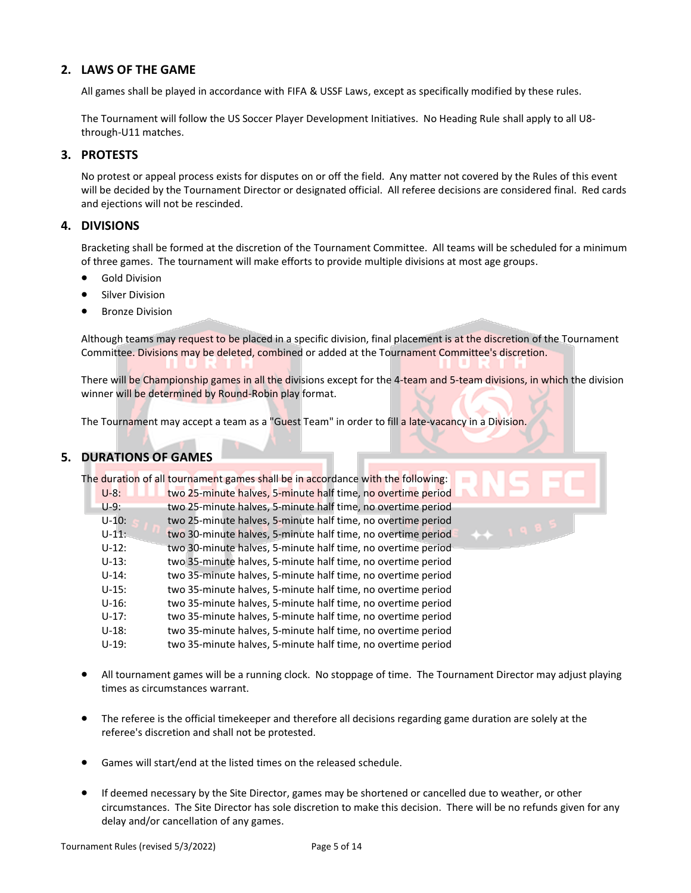#### **2. LAWS OF THE GAME**

All games shall be played in accordance with FIFA & USSF Laws, except as specifically modified by these rules.

The Tournament will follow the US Soccer Player Development Initiatives. No Heading Rule shall apply to all U8 through-U11 matches.

#### **3. PROTESTS**

No protest or appeal process exists for disputes on or off the field. Any matter not covered by the Rules of this event will be decided by the Tournament Director or designated official. All referee decisions are considered final. Red cards and ejections will not be rescinded.

#### **4. DIVISIONS**

Bracketing shall be formed at the discretion of the Tournament Committee. All teams will be scheduled for a minimum of three games. The tournament will make efforts to provide multiple divisions at most age groups.

- Gold Division
- Silver Division
- Bronze Division

Although teams may request to be placed in a specific division, final placement is at the discretion of the Tournament Committee. Divisions may be deleted, combined or added at the Tournament Committee's discretion.

There will be Championship games in all the divisions except for the 4-team and 5-team divisions, in which the division winner will be determined by Round-Robin play format.

The Tournament may accept a team as a "Guest Team" in order to fill a late-vacancy in a Division.

#### **5. DURATIONS OF GAMES**

|           | The duration of all tournament games shall be in accordance with the following: |
|-----------|---------------------------------------------------------------------------------|
| $U-8:$    | two 25-minute halves, 5-minute half time, no overtime period                    |
| $U-9:$    | two 25-minute halves, 5-minute half time, no overtime period                    |
| $U - 10:$ | two 25-minute halves, 5-minute half time, no overtime period                    |
| $U - 11:$ | two 30-minute halves, 5-minute half time, no overtime period                    |
| $U-12:$   | two 30-minute halves, 5-minute half time, no overtime period                    |
| $U-13:$   | two 35-minute halves, 5-minute half time, no overtime period                    |
| $U-14:$   | two 35-minute halves, 5-minute half time, no overtime period                    |
| $U-15:$   | two 35-minute halves, 5-minute half time, no overtime period                    |
| $U-16:$   | two 35-minute halves, 5-minute half time, no overtime period                    |
| $U-17:$   | two 35-minute halves, 5-minute half time, no overtime period                    |
| $U-18:$   | two 35-minute halves, 5-minute half time, no overtime period                    |
| $U-19:$   | two 35-minute halves, 5-minute half time, no overtime period                    |

- All tournament games will be a running clock. No stoppage of time. The Tournament Director may adjust playing times as circumstances warrant.
- The referee is the official timekeeper and therefore all decisions regarding game duration are solely at the referee's discretion and shall not be protested.
- Games will start/end at the listed times on the released schedule.
- If deemed necessary by the Site Director, games may be shortened or cancelled due to weather, or other circumstances. The Site Director has sole discretion to make this decision. There will be no refunds given for any delay and/or cancellation of any games.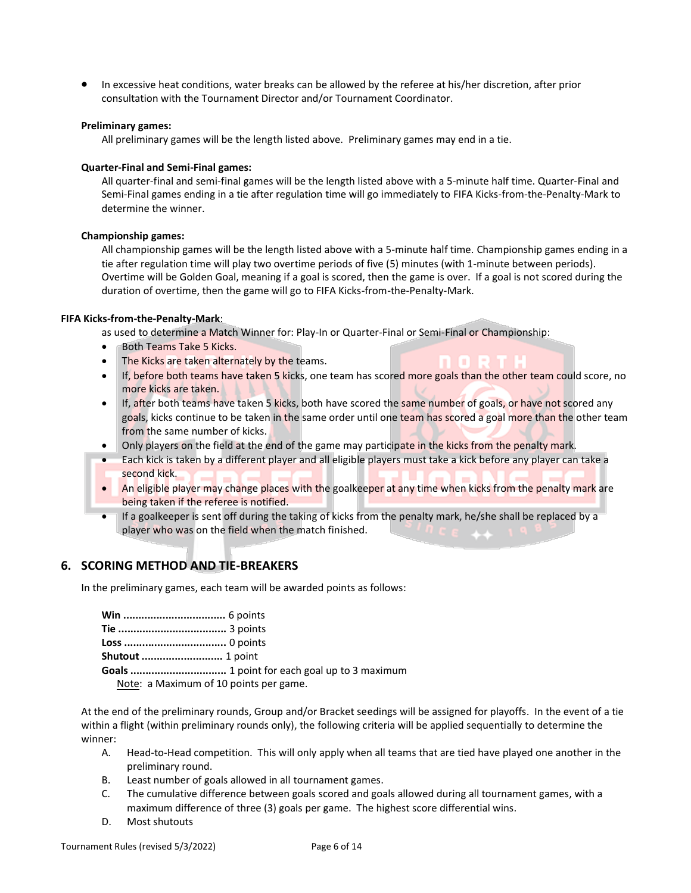• In excessive heat conditions, water breaks can be allowed by the referee at his/her discretion, after prior consultation with the Tournament Director and/or Tournament Coordinator.

#### **Preliminary games:**

All preliminary games will be the length listed above. Preliminary games may end in a tie.

#### **Quarter-Final and Semi-Final games:**

All quarter-final and semi-final games will be the length listed above with a 5-minute half time. Quarter-Final and Semi-Final games ending in a tie after regulation time will go immediately to FIFA Kicks-from-the-Penalty-Mark to determine the winner.

#### **Championship games:**

All championship games will be the length listed above with a 5-minute half time. Championship games ending in a tie after regulation time will play two overtime periods of five (5) minutes (with 1-minute between periods). Overtime will be Golden Goal, meaning if a goal is scored, then the game is over. If a goal is not scored during the duration of overtime, then the game will go to FIFA Kicks-from-the-Penalty-Mark.

#### **FIFA Kicks-from-the-Penalty-Mark**:

as used to determine a Match Winner for: Play-In or Quarter-Final or Semi-Final or Championship:

- Both Teams Take 5 Kicks.
- The Kicks are taken alternately by the teams.
- If, before both teams have taken 5 kicks, one team has scored more goals than the other team could score, no more kicks are taken.
- If, after both teams have taken 5 kicks, both have scored the same number of goals, or have not scored any goals, kicks continue to be taken in the same order until one team has scored a goal more than the other team from the same number of kicks.
- Only players on the field at the end of the game may participate in the kicks from the penalty mark.
- Each kick is taken by a different player and all eligible players must take a kick before any player can take a second kick.
- An eligible player may change places with the goalkeeper at any time when kicks from the penalty mark are being taken if the referee is notified.
- If a goalkeeper is sent off during the taking of kicks from the penalty mark, he/she shall be replaced by a player who was on the field when the match finished.

#### **6. SCORING METHOD AND TIE-BREAKERS**

In the preliminary games, each team will be awarded points as follows:

| Note: a Maximum of 10 points per game. |
|----------------------------------------|

At the end of the preliminary rounds, Group and/or Bracket seedings will be assigned for playoffs. In the event of a tie within a flight (within preliminary rounds only), the following criteria will be applied sequentially to determine the winner:

- A. Head-to-Head competition. This will only apply when all teams that are tied have played one another in the preliminary round.
- B. Least number of goals allowed in all tournament games.
- C. The cumulative difference between goals scored and goals allowed during all tournament games, with a maximum difference of three (3) goals per game. The highest score differential wins.
- D. Most shutouts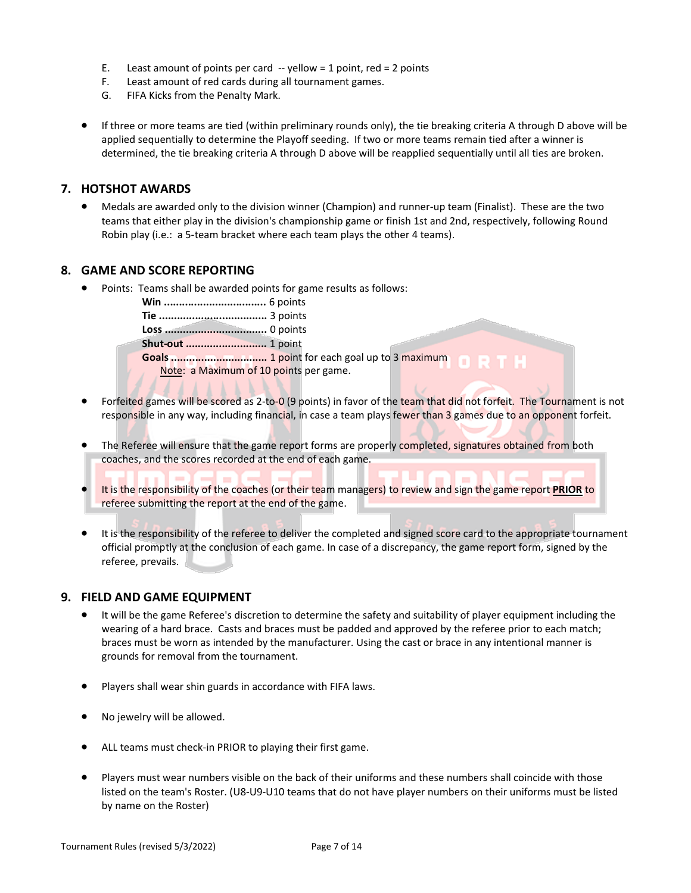- E. Least amount of points per card  $-$  yellow = 1 point, red = 2 points
- F. Least amount of red cards during all tournament games.
- G. FIFA Kicks from the Penalty Mark.
- If three or more teams are tied (within preliminary rounds only), the tie breaking criteria A through D above will be applied sequentially to determine the Playoff seeding. If two or more teams remain tied after a winner is determined, the tie breaking criteria A through D above will be reapplied sequentially until all ties are broken.

#### **7. HOTSHOT AWARDS**

• Medals are awarded only to the division winner (Champion) and runner-up team (Finalist). These are the two teams that either play in the division's championship game or finish 1st and 2nd, respectively, following Round Robin play (i.e.: a 5-team bracket where each team plays the other 4 teams).

#### **8. GAME AND SCORE REPORTING**

• Points: Teams shall be awarded points for game results as follows:

**Win ..................................** 6 points

**Tie ....................................** 3 points

**Loss ..................................** 0 points

**Shut-out ...........................** 1 point

**Goals ................................** 1 point for each goal up to 3 maximum Note: a Maximum of 10 points per game.

- Forfeited games will be scored as 2-to-0 (9 points) in favor of the team that did not forfeit. The Tournament is not responsible in any way, including financial, in case a team plays fewer than 3 games due to an opponent forfeit.
- The Referee will ensure that the game report forms are properly completed, signatures obtained from both coaches, and the scores recorded at the end of each game.
- It is the responsibility of the coaches (or their team managers) to review and sign the game report **PRIOR** to referee submitting the report at the end of the game.
- It is the responsibility of the referee to deliver the completed and signed score card to the appropriate tournament official promptly at the conclusion of each game. In case of a discrepancy, the game report form, signed by the referee, prevails.

 $\overline{\phantom{a}}$ 

#### **9. FIELD AND GAME EQUIPMENT**

- It will be the game Referee's discretion to determine the safety and suitability of player equipment including the wearing of a hard brace. Casts and braces must be padded and approved by the referee prior to each match; braces must be worn as intended by the manufacturer. Using the cast or brace in any intentional manner is grounds for removal from the tournament.
- Players shall wear shin guards in accordance with FIFA laws.
- No jewelry will be allowed.
- ALL teams must check-in PRIOR to playing their first game.
- Players must wear numbers visible on the back of their uniforms and these numbers shall coincide with those listed on the team's Roster. (U8-U9-U10 teams that do not have player numbers on their uniforms must be listed by name on the Roster)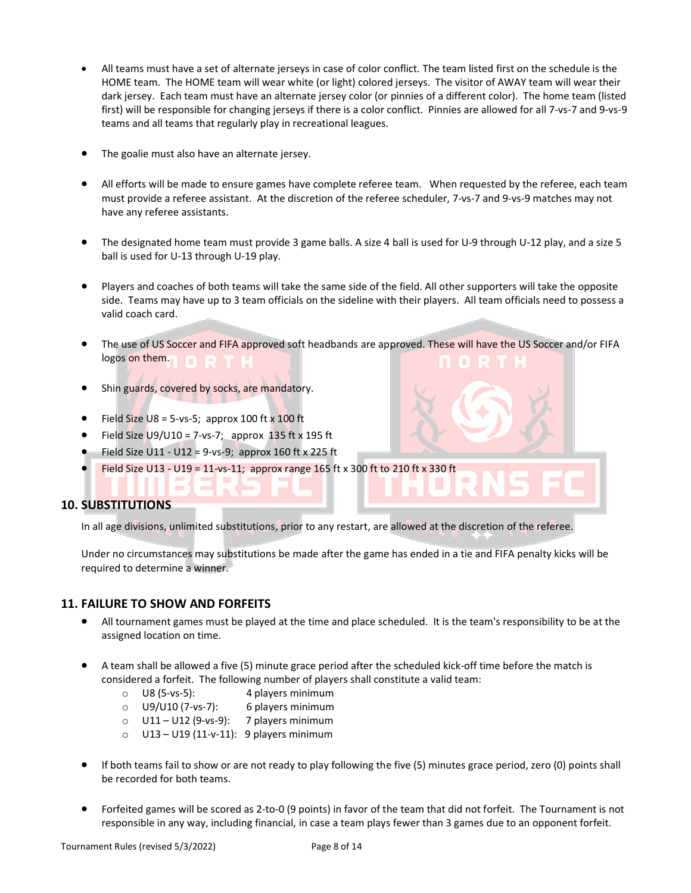- All teams must have a set of alternate jerseys in case of color conflict. The team listed first on the schedule is the HOME team. The HOME team will wear white (or light) colored jerseys. The visitor of AWAY team will wear their dark jersey. Each team must have an alternate jersey color (or pinnies of a different color). The home team (listed first) will be responsible for changing jerseys if there is a color conflict. Pinnies are allowed for all 7-vs-7 and 9-vs-9 teams and all teams that regularly play in recreational leagues.
- The goalie must also have an alternate jersey.
- All efforts will be made to ensure games have complete referee team. When requested by the referee, each team must provide a referee assistant. At the discretion of the referee scheduler, 7-vs-7 and 9-vs-9 matches may not have any referee assistants.
- The designated home team must provide 3 game balls. A size 4 ball is used for U-9 through U-12 play, and a size 5 ball is used for U-13 through U-19 play.
- Players and coaches of both teams will take the same side of the field. All other supporters will take the opposite side. Teams may have up to 3 team officials on the sideline with their players. All team officials need to possess a valid coach card.
- The use of US Soccer and FIFA approved soft headbands are approved. These will have the US Soccer and/or FIFA logos on them.
- Shin guards, covered by socks, are mandatory.
- Field Size U8 = 5-vs-5; approx 100 ft  $\times$  100 ft
- Field Size  $U9/U10 = 7$ -vs-7; approx 135 ft x 195 ft
- Field Size U11 U12 = 9-vs-9; approx 160 ft x 225 ft
- Field Size U13 U19 = 11-vs-11; approx range 165 ft x 300 ft to 210 ft x 330 ft

#### **10. SUBSTITUTIONS**

In all age divisions, unlimited substitutions, prior to any restart, are allowed at the discretion of the referee.

Under no circumstances may substitutions be made after the game has ended in a tie and FIFA penalty kicks will be required to determine a winner.

#### **11. FAILURE TO SHOW AND FORFEITS**

- All tournament games must be played at the time and place scheduled. It is the team's responsibility to be at the assigned location on time.
- A team shall be allowed a five (5) minute grace period after the scheduled kick-off time before the match is considered a forfeit. The following number of players shall constitute a valid team:
	- o U8 (5-vs-5): 4 players minimum
	- o U9/U10 (7-vs-7): 6 players minimum
	- $O$  U11 U12 (9-vs-9): 7 players minimum
	- $O$  U13 U19 (11-v-11): 9 players minimum
- If both teams fail to show or are not ready to play following the five (5) minutes grace period, zero (0) points shall be recorded for both teams.
- Forfeited games will be scored as 2-to-0 (9 points) in favor of the team that did not forfeit. The Tournament is not responsible in any way, including financial, in case a team plays fewer than 3 games due to an opponent forfeit.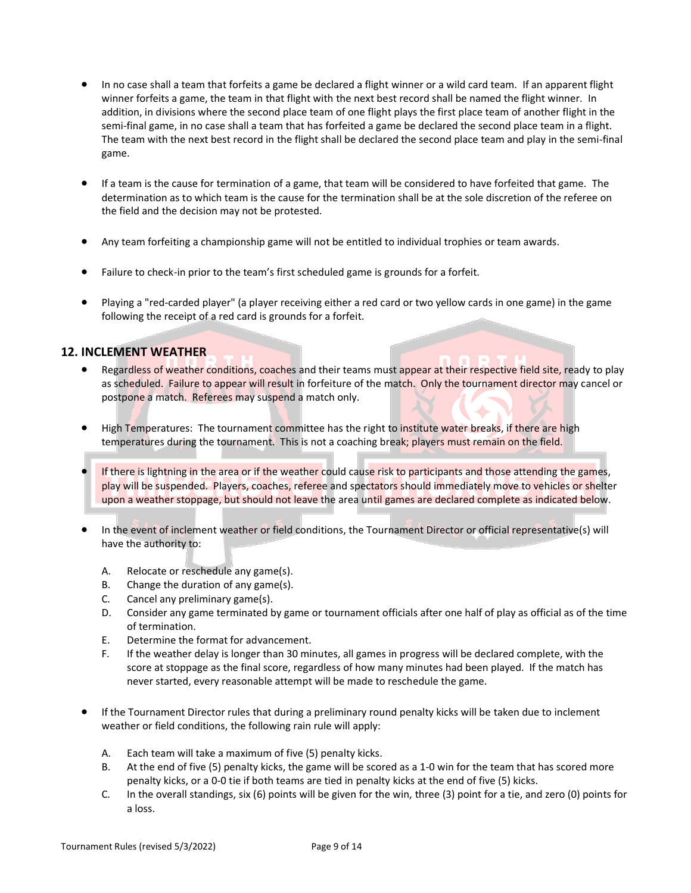- In no case shall a team that forfeits a game be declared a flight winner or a wild card team. If an apparent flight winner forfeits a game, the team in that flight with the next best record shall be named the flight winner. In addition, in divisions where the second place team of one flight plays the first place team of another flight in the semi-final game, in no case shall a team that has forfeited a game be declared the second place team in a flight. The team with the next best record in the flight shall be declared the second place team and play in the semi-final game.
- If a team is the cause for termination of a game, that team will be considered to have forfeited that game. The determination as to which team is the cause for the termination shall be at the sole discretion of the referee on the field and the decision may not be protested.
- Any team forfeiting a championship game will not be entitled to individual trophies or team awards.
- Failure to check-in prior to the team's first scheduled game is grounds for a forfeit.
- Playing a "red-carded player" (a player receiving either a red card or two yellow cards in one game) in the game following the receipt of a red card is grounds for a forfeit.

#### **12. INCLEMENT WEATHER**

- Regardless of weather conditions, coaches and their teams must appear at their respective field site, ready to play as scheduled. Failure to appear will result in forfeiture of the match. Only the tournament director may cancel or postpone a match. Referees may suspend a match only.
- High Temperatures: The tournament committee has the right to institute water breaks, if there are high temperatures during the tournament. This is not a coaching break; players must remain on the field.
- If there is lightning in the area or if the weather could cause risk to participants and those attending the games, play will be suspended. Players, coaches, referee and spectators should immediately move to vehicles or shelter upon a weather stoppage, but should not leave the area until games are declared complete as indicated below.
- In the event of inclement weather or field conditions, the Tournament Director or official representative(s) will have the authority to:
	- A. Relocate or reschedule any game(s).
	- B. Change the duration of any game(s).
	- C. Cancel any preliminary game(s).
	- D. Consider any game terminated by game or tournament officials after one half of play as official as of the time of termination.
	- E. Determine the format for advancement.
	- F. If the weather delay is longer than 30 minutes, all games in progress will be declared complete, with the score at stoppage as the final score, regardless of how many minutes had been played. If the match has never started, every reasonable attempt will be made to reschedule the game.
- If the Tournament Director rules that during a preliminary round penalty kicks will be taken due to inclement weather or field conditions, the following rain rule will apply:
	- A. Each team will take a maximum of five (5) penalty kicks.
	- B. At the end of five (5) penalty kicks, the game will be scored as a 1-0 win for the team that has scored more penalty kicks, or a 0-0 tie if both teams are tied in penalty kicks at the end of five (5) kicks.
	- C. In the overall standings, six (6) points will be given for the win, three (3) point for a tie, and zero (0) points for a loss.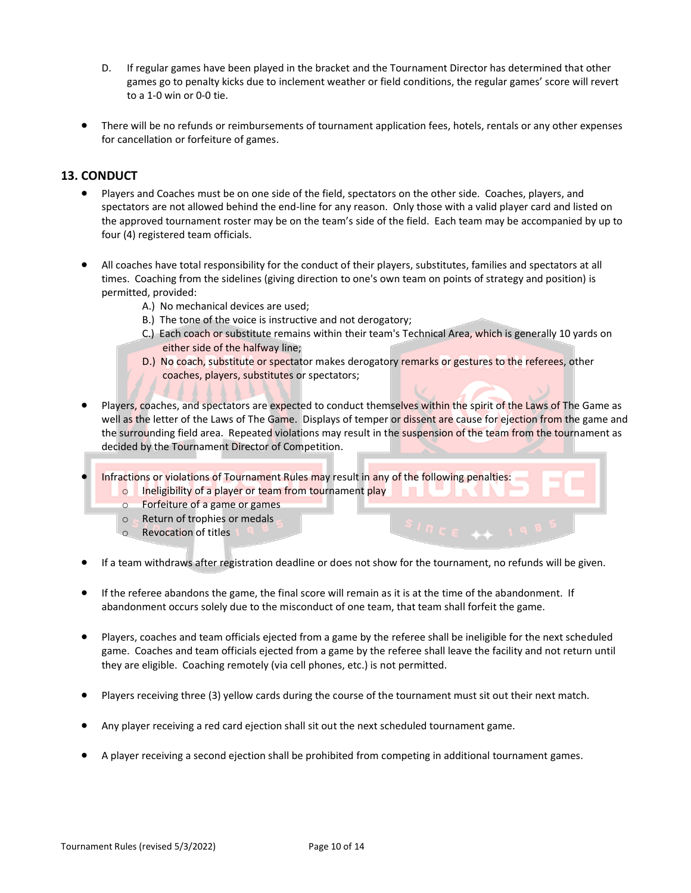- D. If regular games have been played in the bracket and the Tournament Director has determined that other games go to penalty kicks due to inclement weather or field conditions, the regular games' score will revert to a 1-0 win or 0-0 tie.
- There will be no refunds or reimbursements of tournament application fees, hotels, rentals or any other expenses for cancellation or forfeiture of games.

#### **13. CONDUCT**

- Players and Coaches must be on one side of the field, spectators on the other side. Coaches, players, and spectators are not allowed behind the end-line for any reason. Only those with a valid player card and listed on the approved tournament roster may be on the team's side of the field. Each team may be accompanied by up to four (4) registered team officials.
- All coaches have total responsibility for the conduct of their players, substitutes, families and spectators at all times. Coaching from the sidelines (giving direction to one's own team on points of strategy and position) is permitted, provided:
	- A.) No mechanical devices are used;
	- B.) The tone of the voice is instructive and not derogatory;
	- C.) Each coach or substitute remains within their team's Technical Area, which is generally 10 yards on either side of the halfway line;
	- D.) No coach, substitute or spectator makes derogatory remarks or gestures to the referees, other coaches, players, substitutes or spectators;
- Players, coaches, and spectators are expected to conduct themselves within the spirit of the Laws of The Game as well as the letter of the Laws of The Game. Displays of temper or dissent are cause for ejection from the game and the surrounding field area. Repeated violations may result in the suspension of the team from the tournament as decided by the Tournament Director of Competition.

Infractions or violations of Tournament Rules may result in any of the following penalties: o Ineligibility of a player or team from tournament play<br>o Forfeiture of a game or games

- Forfeiture of a game or games
- o Return of trophies or medals
- o Revocation of titles
- If a team withdraws after registration deadline or does not show for the tournament, no refunds will be given.
- If the referee abandons the game, the final score will remain as it is at the time of the abandonment. If abandonment occurs solely due to the misconduct of one team, that team shall forfeit the game.
- Players, coaches and team officials ejected from a game by the referee shall be ineligible for the next scheduled game. Coaches and team officials ejected from a game by the referee shall leave the facility and not return until they are eligible. Coaching remotely (via cell phones, etc.) is not permitted.
- Players receiving three (3) yellow cards during the course of the tournament must sit out their next match.
- Any player receiving a red card ejection shall sit out the next scheduled tournament game.
- A player receiving a second ejection shall be prohibited from competing in additional tournament games.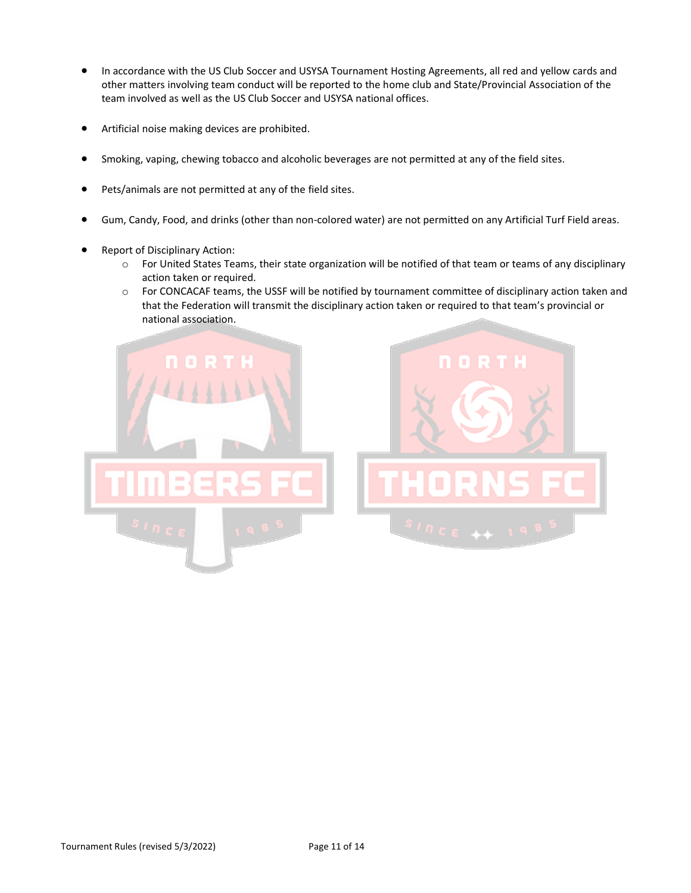- In accordance with the US Club Soccer and USYSA Tournament Hosting Agreements, all red and yellow cards and other matters involving team conduct will be reported to the home club and State/Provincial Association of the team involved as well as the US Club Soccer and USYSA national offices.
- Artificial noise making devices are prohibited.
- Smoking, vaping, chewing tobacco and alcoholic beverages are not permitted at any of the field sites.
- Pets/animals are not permitted at any of the field sites.
- Gum, Candy, Food, and drinks (other than non-colored water) are not permitted on any Artificial Turf Field areas.
- Report of Disciplinary Action:
	- o For United States Teams, their state organization will be notified of that team or teams of any disciplinary action taken or required.
	- o For CONCACAF teams, the USSF will be notified by tournament committee of disciplinary action taken and that the Federation will transmit the disciplinary action taken or required to that team's provincial or national association.

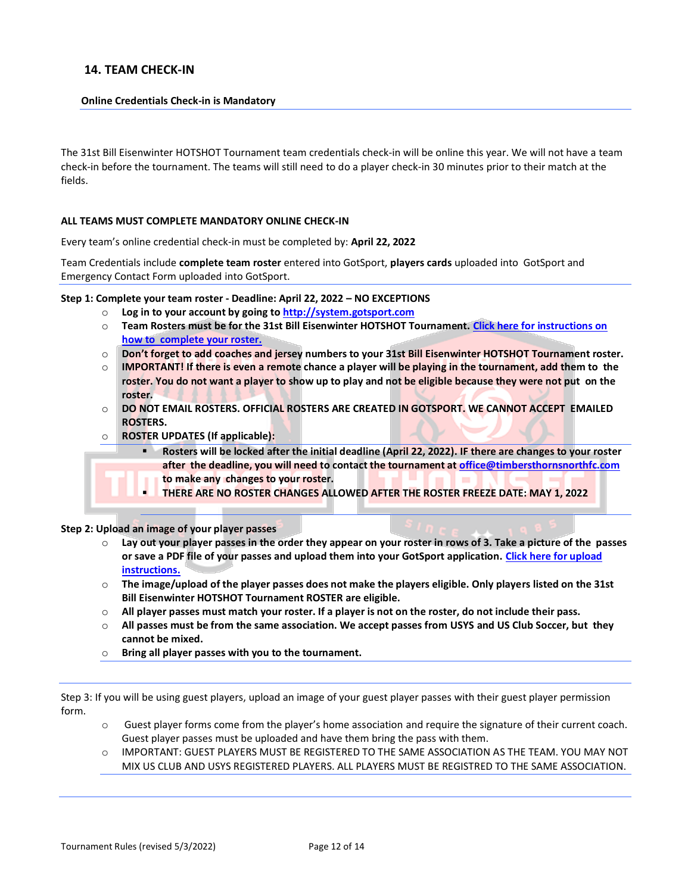#### **14. TEAM CHECK-IN**

#### **Online Credentials Check-in is Mandatory**

The 31st Bill Eisenwinter HOTSHOT Tournament team credentials check-in will be online this year. We will not have a team check-in before the tournament. The teams will still need to do a player check-in 30 minutes prior to their match at the fields.

#### **ALL TEAMS MUST COMPLETE MANDATORY ONLINE CHECK-IN**

Every team's online credential check-in must be completed by: **April 22, 2022** 

Team Credentials include **complete team roster** entered into GotSport, **players cards** uploaded into GotSport and Emergency Contact Form uploaded into GotSport.

**Step 1: Complete your team roster - Deadline: April 22, 2022 – NO EXCEPTIONS**

- o **Log in to your account by going t[o http://system.gotsport.com](http://system.gotsport.com/)**
- o **Team Rosters must be for the 31st Bill Eisenwinter HOTSHOT Tournament. [Click here for instructions on](https://gotsport.zendesk.com/hc/en-us/articles/4407211842199-How-do-I-Build-Event-Roster-Coach-Manager)  [how to complete your roster.](https://gotsport.zendesk.com/hc/en-us/articles/4407211842199-How-do-I-Build-Event-Roster-Coach-Manager)**
- o **Don't forget to add coaches and jersey numbers to your 31st Bill Eisenwinter HOTSHOT Tournament roster.**
- o **IMPORTANT! If there is even a remote chance a player will be playing in the tournament, add them to the roster. You do not want a player to show up to play and not be eligible because they were not put on the roster.**
- o **DO NOT EMAIL ROSTERS. OFFICIAL ROSTERS ARE CREATED IN GOTSPORT. WE CANNOT ACCEPT EMAILED ROSTERS.**
- **ROSTER UPDATES (If applicable):** 
	- Rosters will be locked after the initial deadline (April 22, 2022). IF there are changes to your roster **after the deadline, you will need to contact the tournament at [office@timbersthornsnorthfc.com](mailto:office@timbersthornsnorthfc.com)**
	- **to make any changes to your roster.**
	- **THERE ARE NO ROSTER CHANGES ALLOWED AFTER THE ROSTER FREEZE DATE: MAY 1, 2022**

**Step 2: Upload an image of your player passes**

- o **Lay out your player passes in the order they appear on your roster in rows of 3. Take a picture of the passes or save a PDF file of your passes and upload them into your GotSport application[. Click here for upload](https://gotsport.zendesk.com/hc/en-us/articles/4408013292183-How-do-I-Upload-Documents-for-Online-Check-In-The)  [instructions.](https://gotsport.zendesk.com/hc/en-us/articles/4408013292183-How-do-I-Upload-Documents-for-Online-Check-In-The)**
- o **The image/upload of the player passes does not make the players eligible. Only players listed on the 31st Bill Eisenwinter HOTSHOT Tournament ROSTER are eligible.**
- o **All player passes must match your roster. If a player is not on the roster, do not include their pass.**
- o **All passes must be from the same association. We accept passes from USYS and US Club Soccer, but they cannot be mixed.**
- o **Bring all player passes with you to the tournament.**

Step 3: If you will be using guest players, upload an image of your guest player passes with their guest player permission form.

- o Guest player forms come from the player's home association and require the signature of their current coach. Guest player passes must be uploaded and have them bring the pass with them.
- IMPORTANT: GUEST PLAYERS MUST BE REGISTERED TO THE SAME ASSOCIATION AS THE TEAM. YOU MAY NOT MIX US CLUB AND USYS REGISTERED PLAYERS. ALL PLAYERS MUST BE REGISTRED TO THE SAME ASSOCIATION.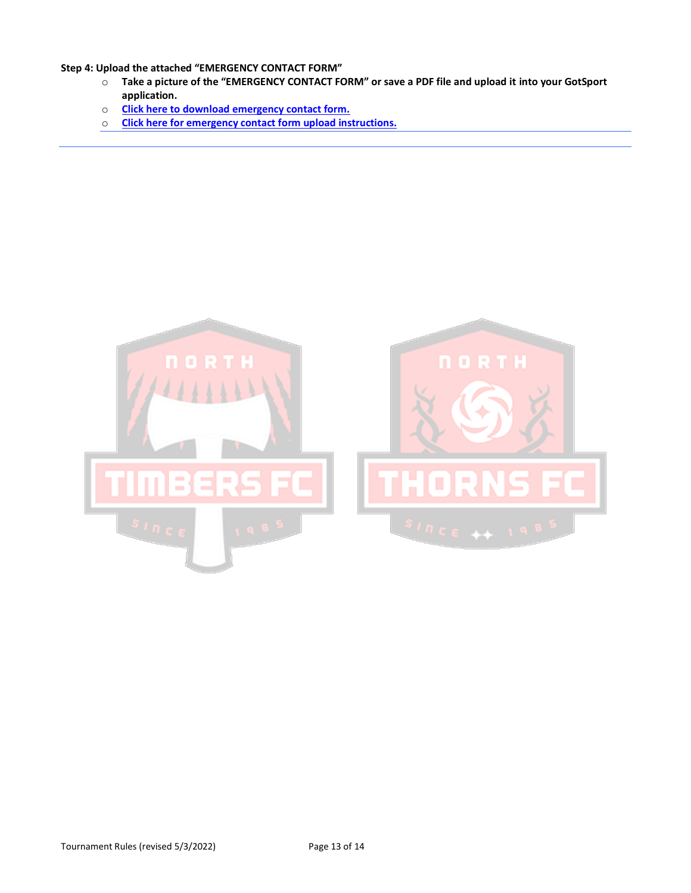**Step 4: Upload the attached "EMERGENCY CONTACT FORM"** 

- o **Take a picture of the "EMERGENCY CONTACT FORM" or save a PDF file and upload it into your GotSport application.**
- o **[Click here to download emergency contact form.](https://www.timbersthornsnorthfc.com/_files/ugd/1de7a6_b6c1641469ef438e90b01fea2a6437b9.pdf)**
- o **[Click here for emergency contact form upload instructions.](https://gotsport.zendesk.com/hc/en-us/articles/4408013292183-How-do-I-Upload-Documents-for%20Online-Check-In-)**